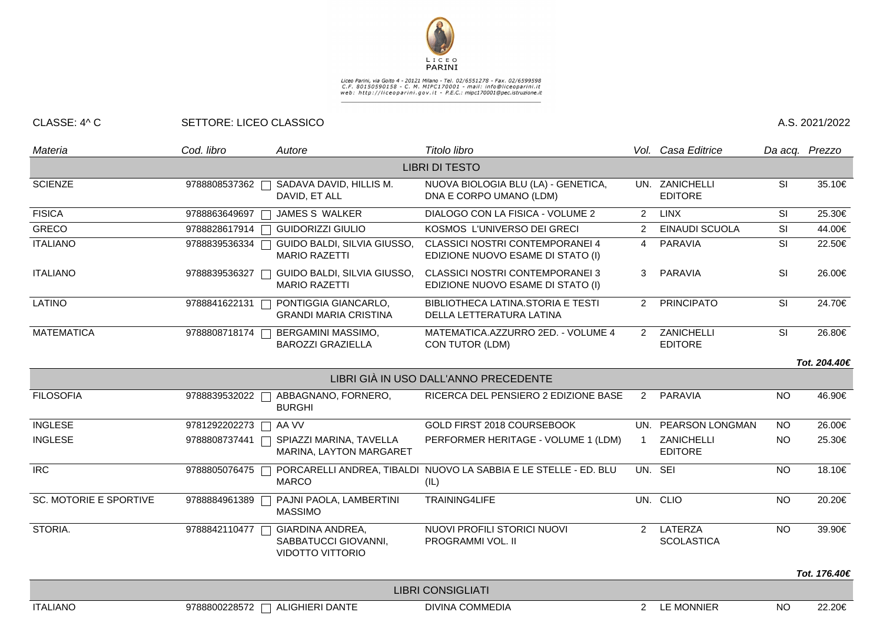

## Liceo Parini, via Goito 4 - 20121 Milano - Tel. 02/6551278 - Fax. 02/6599598<br>C.F. 80150590158 - C. M. MIPC170001 - mail: info@liceoparini.it<br>web: http://liceoparini.gov.it - P.E.C.: mipc170001@pec.istruzione.it

## CLASSE: 4^ C SETTORE: LICEO CLASSICO A.S. 2021/2022

| Materia                       | Cod. libro              | Autore                                                                     | Titolo libro                                                                |                      | Vol. Casa Editrice                  |                 | Da acq. Prezzo |
|-------------------------------|-------------------------|----------------------------------------------------------------------------|-----------------------------------------------------------------------------|----------------------|-------------------------------------|-----------------|----------------|
|                               |                         |                                                                            | <b>LIBRI DI TESTO</b>                                                       |                      |                                     |                 |                |
| <b>SCIENZE</b>                | 9788808537362           | SADAVA DAVID, HILLIS M.<br>DAVID, ET ALL                                   | NUOVA BIOLOGIA BLU (LA) - GENETICA,<br>DNA E CORPO UMANO (LDM)              |                      | UN. ZANICHELLI<br><b>EDITORE</b>    | SI              | 35.10€         |
| <b>FISICA</b>                 | 9788863649697           | JAMES S WALKER                                                             | DIALOGO CON LA FISICA - VOLUME 2                                            | $\overline{2}$       | <b>LINX</b>                         | SI              | 25.30€         |
| <b>GRECO</b>                  | 9788828617914<br>$\Box$ | <b>GUIDORIZZI GIULIO</b>                                                   | KOSMOS L'UNIVERSO DEI GRECI                                                 | 2                    | <b>EINAUDI SCUOLA</b>               | SI              | 44.00€         |
| <b>ITALIANO</b>               | 9788839536334           | GUIDO BALDI, SILVIA GIUSSO,<br><b>MARIO RAZETTI</b>                        | <b>CLASSICI NOSTRI CONTEMPORANEI 4</b><br>EDIZIONE NUOVO ESAME DI STATO (I) | $\overline{4}$       | <b>PARAVIA</b>                      | SI              | 22.50€         |
| <b>ITALIANO</b>               | 9788839536327           | GUIDO BALDI, SILVIA GIUSSO,<br><b>MARIO RAZETTI</b>                        | <b>CLASSICI NOSTRI CONTEMPORANEI 3</b><br>EDIZIONE NUOVO ESAME DI STATO (I) | 3                    | PARAVIA                             | SI              | 26.00€         |
| <b>LATINO</b>                 | 9788841622131           | PONTIGGIA GIANCARLO,<br><b>GRANDI MARIA CRISTINA</b>                       | BIBLIOTHECA LATINA.STORIA E TESTI<br>DELLA LETTERATURA LATINA               | $\overline{2}$       | <b>PRINCIPATO</b>                   | SI              | 24.70€         |
| <b>MATEMATICA</b>             |                         | 9788808718174   BERGAMINI MASSIMO,<br><b>BAROZZI GRAZIELLA</b>             | MATEMATICA.AZZURRO 2ED. - VOLUME 4<br>CON TUTOR (LDM)                       |                      | 2 ZANICHELLI<br><b>EDITORE</b>      | SI              | 26.80€         |
|                               |                         |                                                                            |                                                                             |                      |                                     |                 | Tot. 204.40€   |
|                               |                         |                                                                            | LIBRI GIÀ IN USO DALL'ANNO PRECEDENTE                                       |                      |                                     |                 |                |
| <b>FILOSOFIA</b>              | 9788839532022           | ABBAGNANO, FORNERO,<br><b>BURGHI</b>                                       | RICERCA DEL PENSIERO 2 EDIZIONE BASE                                        | $\overline{2}$       | PARAVIA                             | <b>NO</b>       | 46.90€         |
| <b>INGLESE</b>                | 9781292202273 □ AA VV   |                                                                            | GOLD FIRST 2018 COURSEBOOK                                                  | UN.                  | PEARSON LONGMAN                     | <b>NO</b>       | 26.00€         |
| <b>INGLESE</b>                | 9788808737441           | SPIAZZI MARINA, TAVELLA<br>MARINA, LAYTON MARGARET                         | PERFORMER HERITAGE - VOLUME 1 (LDM)                                         | 1                    | ZANICHELLI<br><b>EDITORE</b>        | <b>NO</b>       | 25.30€         |
| <b>IRC</b>                    | 9788805076475           | PORCARELLI ANDREA, TIBALDI<br><b>MARCO</b>                                 | NUOVO LA SABBIA E LE STELLE - ED. BLU<br>(IL)                               |                      | UN. SEI                             | <b>NO</b>       | 18.10€         |
| <b>SC. MOTORIE E SPORTIVE</b> | 9788884961389           | PAJNI PAOLA, LAMBERTINI<br><b>MASSIMO</b>                                  | TRAINING4LIFE                                                               |                      | UN. CLIO                            | <b>NO</b>       | 20.20€         |
| STORIA.                       | 9788842110477           | <b>GIARDINA ANDREA,</b><br>SABBATUCCI GIOVANNI,<br><b>VIDOTTO VITTORIO</b> | NUOVI PROFILI STORICI NUOVI<br>PROGRAMMI VOL. II                            | $\mathcal{P}$        | <b>LATERZA</b><br><b>SCOLASTICA</b> | $\overline{NO}$ | 39.90€         |
|                               |                         |                                                                            |                                                                             |                      |                                     |                 | Tot. 176.40€   |
|                               |                         |                                                                            | <b>LIBRI CONSIGLIATI</b>                                                    |                      |                                     |                 |                |
| <b>ITALIANO</b>               | 9788800228572           | <b>ALIGHIERI DANTE</b>                                                     | <b>DIVINA COMMEDIA</b>                                                      | $\mathbf{2}^{\circ}$ | <b>LE MONNIER</b>                   | <b>NO</b>       | 22.20€         |